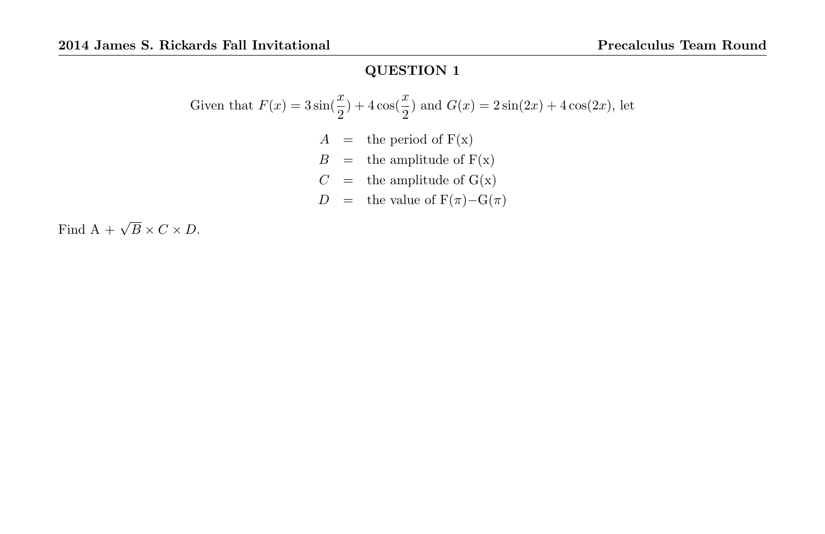Given that 
$$
F(x) = 3\sin(\frac{x}{2}) + 4\cos(\frac{x}{2})
$$
 and  $G(x) = 2\sin(2x) + 4\cos(2x)$ , let  
\n
$$
A = \text{the period of } F(x)
$$
\n
$$
B = \text{the amplitude of } F(x)
$$
\n
$$
C = \text{the amplitude of } G(x)
$$
\n
$$
D = \text{the value of } F(\pi) - G(\pi)
$$

Find  $A + \sqrt{B} \times C \times D$ .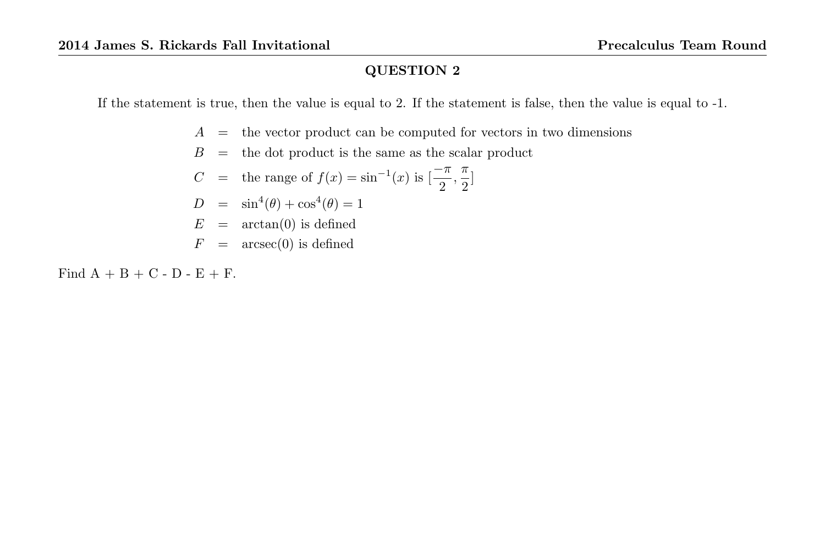If the statement is true, then the value is equal to 2. If the statement is false, then the value is equal to -1.

- $A =$  the vector product can be computed for vectors in two dimensions
- $B =$  the dot product is the same as the scalar product

C = the range of 
$$
f(x) = \sin^{-1}(x)
$$
 is  $\left[\frac{-\pi}{2}, \frac{\pi}{2}\right]$ 

- $D = \sin^4(\theta) + \cos^4(\theta) = 1$
- $E = \arctan(0)$  is defined
- $F = \arcsec(0)$  is defined

Find  $A + B + C - D - E + F$ .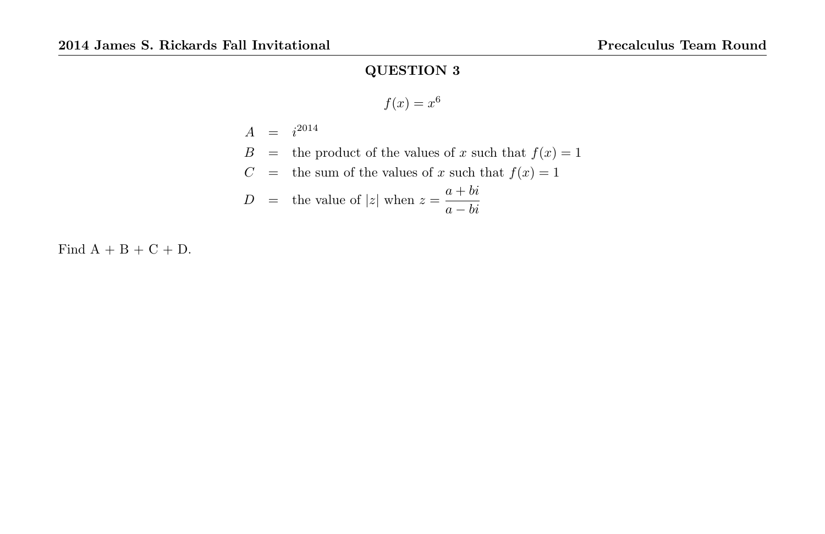$$
f(x) = x^6
$$

$$
A = i^{2014}
$$
  
\n
$$
B =
$$
 the product of the values of x such that  $f(x) = 1$   
\n
$$
C =
$$
 the sum of the values of x such that  $f(x) = 1$   
\n
$$
D =
$$
 the value of |z| when  $z = \frac{a + bi}{a - bi}$ 

Find  $A + B + C + D$ .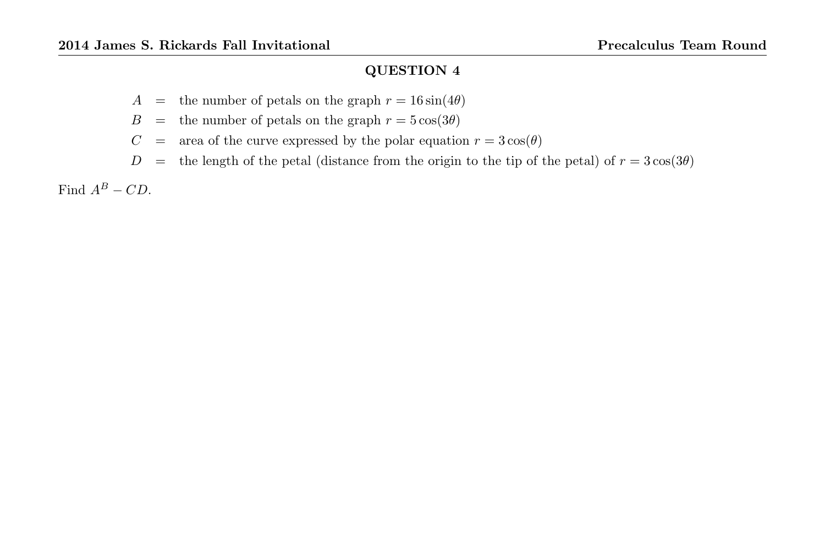- A = the number of petals on the graph  $r = 16 \sin(4\theta)$
- $B =$  the number of petals on the graph  $r = 5 \cos(3\theta)$
- $C = \text{area of the curve expressed by the polar equation } r = 3\cos(\theta)$
- $D =$  the length of the petal (distance from the origin to the tip of the petal) of  $r = 3\cos(3\theta)$

Find  $A^B - CD$ .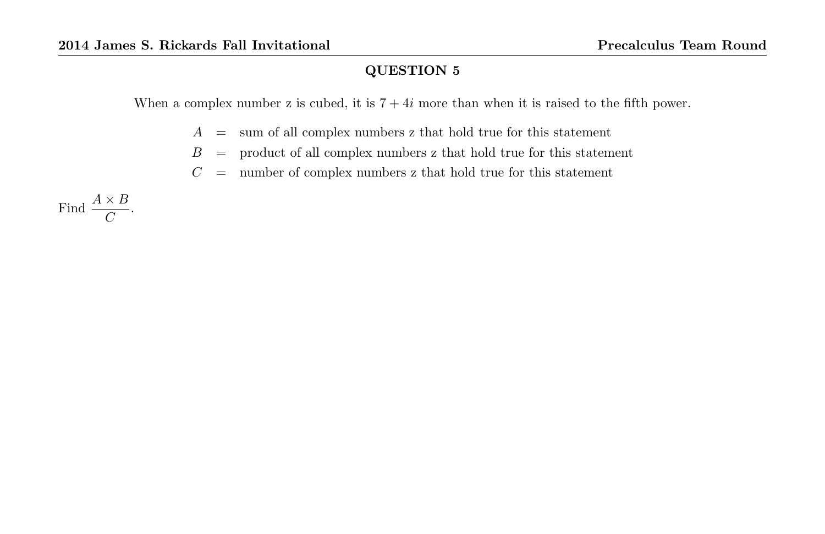When a complex number z is cubed, it is  $7 + 4i$  more than when it is raised to the fifth power.

- $A =$  sum of all complex numbers z that hold true for this statement
- $B =$  product of all complex numbers z that hold true for this statement
- $C =$  number of complex numbers z that hold true for this statement

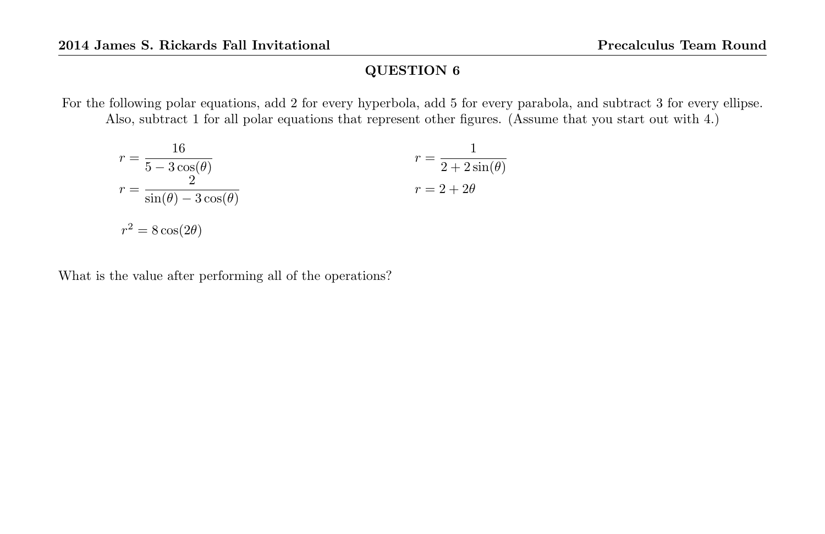For the following polar equations, add 2 for every hyperbola, add 5 for every parabola, and subtract 3 for every ellipse. Also, subtract 1 for all polar equations that represent other figures. (Assume that you start out with 4.)

$$
r = \frac{16}{5 - 3\cos(\theta)}
$$
  
\n
$$
r = \frac{2}{\sin(\theta) - 3\cos(\theta)}
$$
  
\n
$$
r = 2 + 2\theta
$$
  
\n
$$
r = 2 + 2\theta
$$
  
\n
$$
r = 2 + 2\theta
$$

What is the value after performing all of the operations?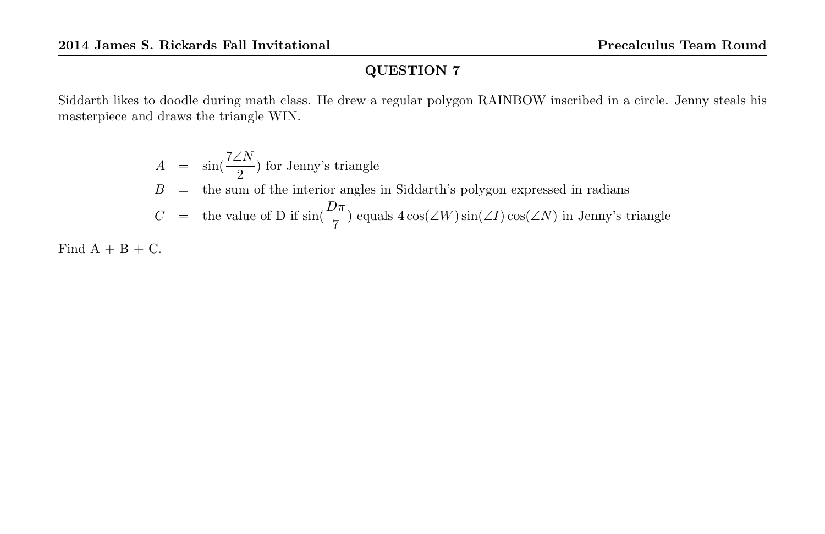Siddarth likes to doodle during math class. He drew a regular polygon RAINBOW inscribed in a circle. Jenny steals his masterpiece and draws the triangle WIN.

$$
A = \sin(\frac{7\angle N}{2})
$$
 for Jenny's triangle  
\n
$$
B =
$$
 the sum of the interior angles in Siddarth's polygon expressed in radians  
\n
$$
C =
$$
 the value of D if  $\sin(\frac{D\pi}{7})$  equals  $4\cos(\angle W)\sin(\angle I)\cos(\angle N)$  in Jenny's triangle

Find  $A + B + C$ .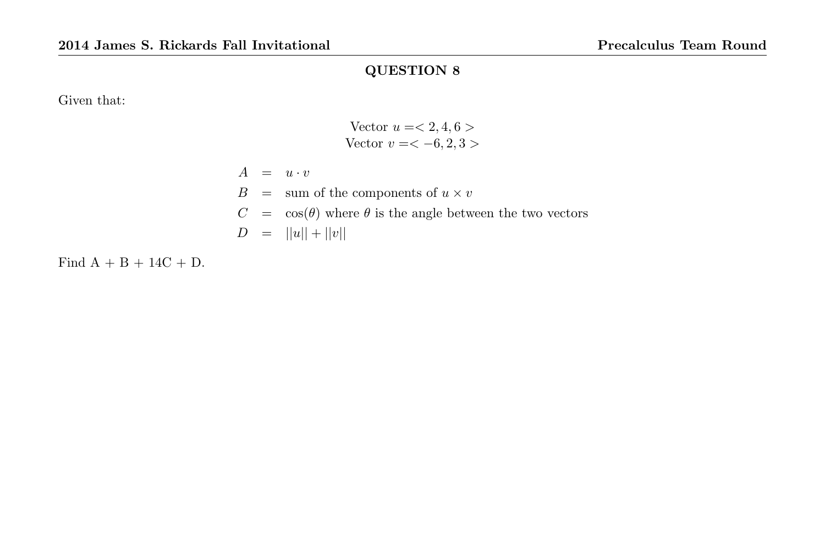Given that:

Vector 
$$
u = \langle 2, 4, 6 \rangle
$$
 Vector  $v = \langle -6, 2, 3 \rangle$ 

 $A = u \cdot v$  $\label{B} B \;\; = \;\; \mbox{sum of the components of} \; u \times v$  $C = \cos(\theta)$  where  $\theta$  is the angle between the two vectors  $D = ||u|| + ||v||$ 

Find  $A + B + 14C + D$ .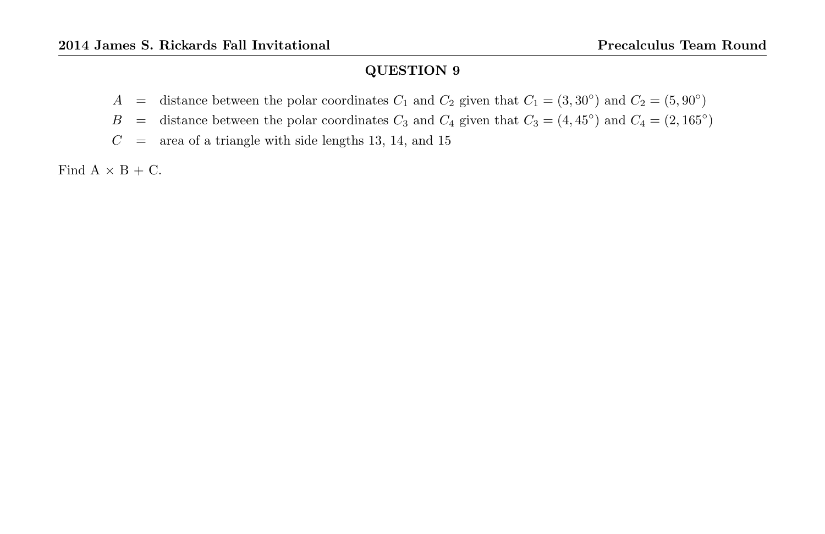- A = distance between the polar coordinates  $C_1$  and  $C_2$  given that  $C_1 = (3, 30^{\circ})$  and  $C_2 = (5, 90^{\circ})$
- B = distance between the polar coordinates  $C_3$  and  $C_4$  given that  $C_3 = (4, 45^{\circ})$  and  $C_4 = (2, 165^{\circ})$
- $C = \text{area of a triangle with side lengths } 13, 14, \text{ and } 15$

Find  $A \times B + C$ .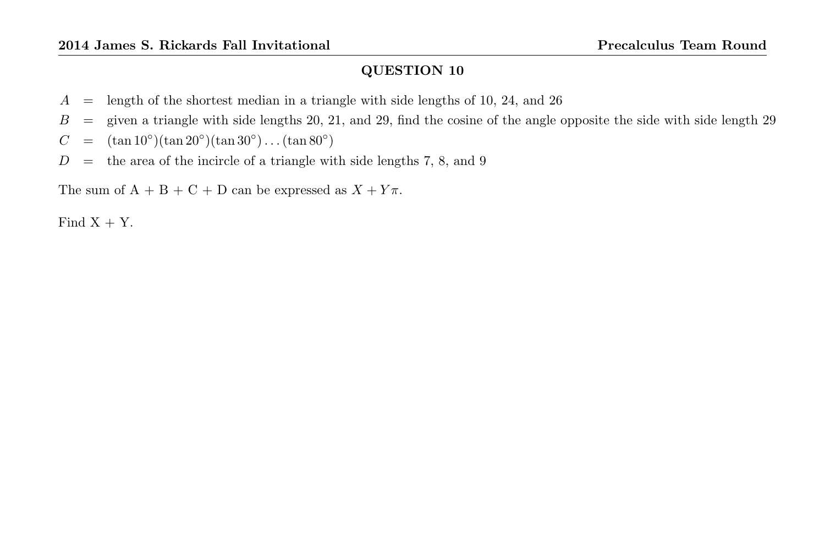- $A =$  length of the shortest median in a triangle with side lengths of 10, 24, and 26
- $B =$  given a triangle with side lengths 20, 21, and 29, find the cosine of the angle opposite the side with side length 29
- $C = (\tan 10^{\circ})(\tan 20^{\circ})(\tan 30^{\circ}) \dots (\tan 80^{\circ})$
- $D =$  the area of the incircle of a triangle with side lengths 7, 8, and 9

The sum of  $A + B + C + D$  can be expressed as  $X + Y\pi$ .

Find  $X + Y$ .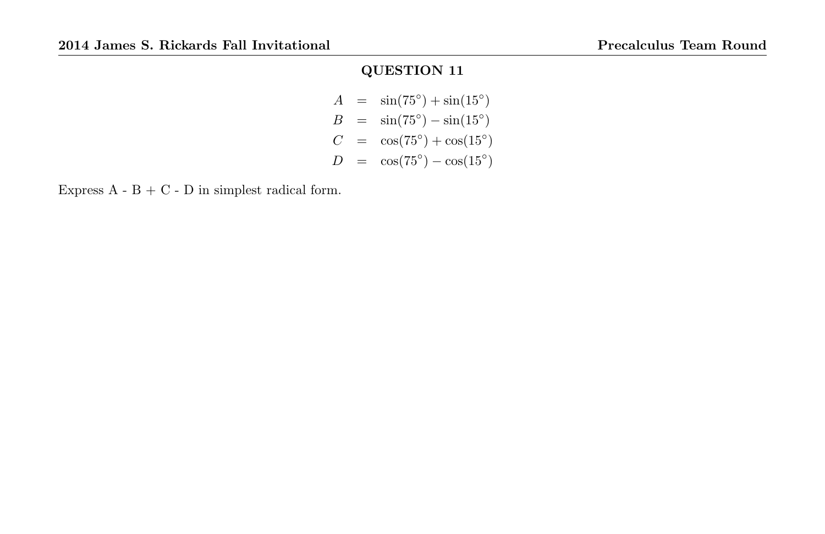$A = \sin(75^\circ) + \sin(15^\circ)$  $B = \sin(75^\circ) - \sin(15^\circ)$  $C = \cos(75^\circ) + \cos(15^\circ)$  $D = \cos(75^\circ) - \cos(15^\circ)$ 

Express  $A - B + C - D$  in simplest radical form.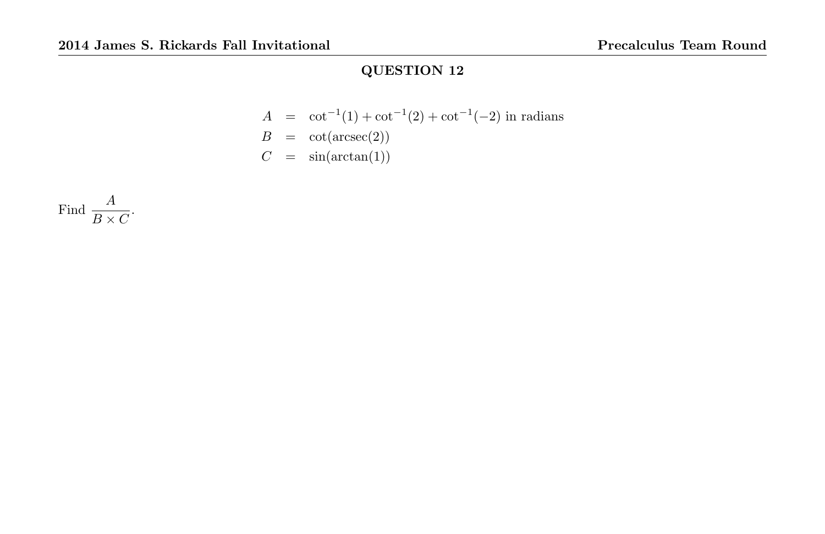$$
A = \cot^{-1}(1) + \cot^{-1}(2) + \cot^{-1}(-2)
$$
in radians  
\n
$$
B = \cot(\operatorname{arcsec}(2))
$$
  
\n
$$
C = \sin(\arctan(1))
$$

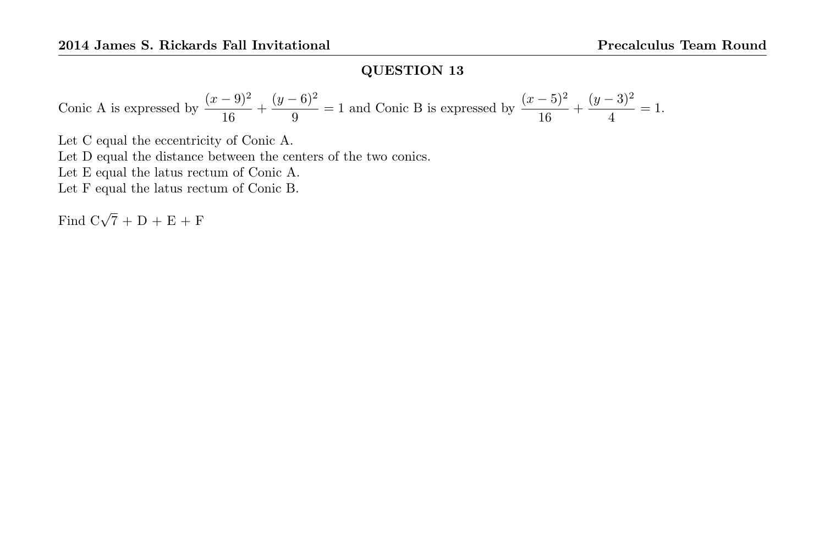Conic A is expressed by 
$$
\frac{(x-9)^2}{16} + \frac{(y-6)^2}{9} = 1
$$
 and Conic B is expressed by  $\frac{(x-5)^2}{16} + \frac{(y-3)^2}{4} = 1$ .

Let C equal the eccentricity of Conic A. Let D equal the distance between the centers of the two conics. Let E equal the latus rectum of Conic A. Let F equal the latus rectum of Conic B.

Find  $C\sqrt{7} + D + E + F$